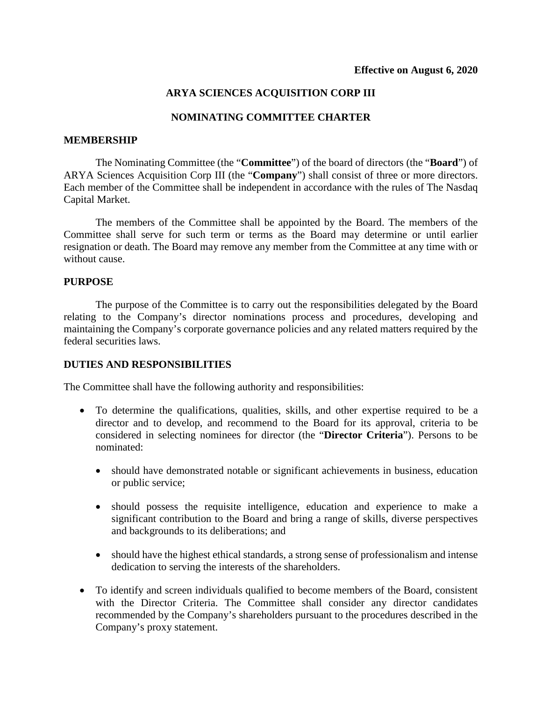# **ARYA SCIENCES ACQUISITION CORP III**

## **NOMINATING COMMITTEE CHARTER**

#### **MEMBERSHIP**

The Nominating Committee (the "**Committee**") of the board of directors (the "**Board**") of ARYA Sciences Acquisition Corp III (the "**Company**") shall consist of three or more directors. Each member of the Committee shall be independent in accordance with the rules of The Nasdaq Capital Market.

The members of the Committee shall be appointed by the Board. The members of the Committee shall serve for such term or terms as the Board may determine or until earlier resignation or death. The Board may remove any member from the Committee at any time with or without cause.

#### **PURPOSE**

The purpose of the Committee is to carry out the responsibilities delegated by the Board relating to the Company's director nominations process and procedures, developing and maintaining the Company's corporate governance policies and any related matters required by the federal securities laws.

#### **DUTIES AND RESPONSIBILITIES**

The Committee shall have the following authority and responsibilities:

- To determine the qualifications, qualities, skills, and other expertise required to be a director and to develop, and recommend to the Board for its approval, criteria to be considered in selecting nominees for director (the "**Director Criteria**"). Persons to be nominated:
	- should have demonstrated notable or significant achievements in business, education or public service;
	- should possess the requisite intelligence, education and experience to make a significant contribution to the Board and bring a range of skills, diverse perspectives and backgrounds to its deliberations; and
	- should have the highest ethical standards, a strong sense of professionalism and intense dedication to serving the interests of the shareholders.
- To identify and screen individuals qualified to become members of the Board, consistent with the Director Criteria. The Committee shall consider any director candidates recommended by the Company's shareholders pursuant to the procedures described in the Company's proxy statement.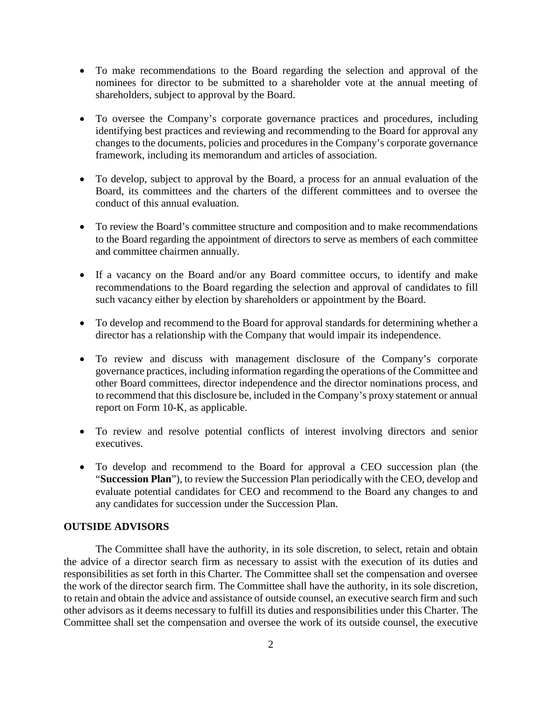- To make recommendations to the Board regarding the selection and approval of the nominees for director to be submitted to a shareholder vote at the annual meeting of shareholders, subject to approval by the Board.
- To oversee the Company's corporate governance practices and procedures, including identifying best practices and reviewing and recommending to the Board for approval any changes to the documents, policies and procedures in the Company's corporate governance framework, including its memorandum and articles of association.
- To develop, subject to approval by the Board, a process for an annual evaluation of the Board, its committees and the charters of the different committees and to oversee the conduct of this annual evaluation.
- To review the Board's committee structure and composition and to make recommendations to the Board regarding the appointment of directors to serve as members of each committee and committee chairmen annually.
- If a vacancy on the Board and/or any Board committee occurs, to identify and make recommendations to the Board regarding the selection and approval of candidates to fill such vacancy either by election by shareholders or appointment by the Board.
- To develop and recommend to the Board for approval standards for determining whether a director has a relationship with the Company that would impair its independence.
- To review and discuss with management disclosure of the Company's corporate governance practices, including information regarding the operations of the Committee and other Board committees, director independence and the director nominations process, and to recommend that this disclosure be, included in the Company's proxy statement or annual report on Form 10-K, as applicable.
- To review and resolve potential conflicts of interest involving directors and senior executives.
- To develop and recommend to the Board for approval a CEO succession plan (the "**Succession Plan**"), to review the Succession Plan periodically with the CEO, develop and evaluate potential candidates for CEO and recommend to the Board any changes to and any candidates for succession under the Succession Plan.

### **OUTSIDE ADVISORS**

The Committee shall have the authority, in its sole discretion, to select, retain and obtain the advice of a director search firm as necessary to assist with the execution of its duties and responsibilities as set forth in this Charter. The Committee shall set the compensation and oversee the work of the director search firm. The Committee shall have the authority, in its sole discretion, to retain and obtain the advice and assistance of outside counsel, an executive search firm and such other advisors as it deems necessary to fulfill its duties and responsibilities under this Charter. The Committee shall set the compensation and oversee the work of its outside counsel, the executive